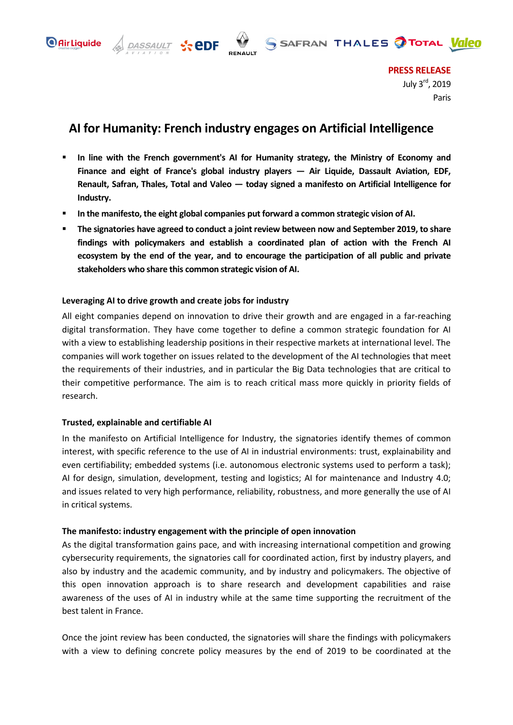



**PRESS RELEASE** July 3rd, 2019 Paris

# **AI for Humanity: French industry engages on Artificial Intelligence**

- **In line with the French government's AI for Humanity strategy, the Ministry of Economy and Finance and eight of France's global industry players — Air Liquide, Dassault Aviation, EDF, Renault, Safran, Thales, Total and Valeo — today signed a manifesto on Artificial Intelligence for Industry.**
- **In the manifesto, the eight global companies put forward a common strategic vision of AI.**
- **The signatories have agreed to conduct a joint review between now and September 2019, to share findings with policymakers and establish a coordinated plan of action with the French AI ecosystem by the end of the year, and to encourage the participation of all public and private stakeholders who share this common strategic vision of AI.**

# **Leveraging AI to drive growth and create jobs for industry**

 $\frac{DASSAULT}{N_{A}N_{A}N_{A}N_{B}N_{B}}$   $\sqrt{2}$  edf

All eight companies depend on innovation to drive their growth and are engaged in a far-reaching digital transformation. They have come together to define a common strategic foundation for AI with a view to establishing leadership positions in their respective markets at international level. The companies will work together on issues related to the development of the AI technologies that meet the requirements of their industries, and in particular the Big Data technologies that are critical to their competitive performance. The aim is to reach critical mass more quickly in priority fields of research.

# **Trusted, explainable and certifiable AI**

In the manifesto on Artificial Intelligence for Industry, the signatories identify themes of common interest, with specific reference to the use of AI in industrial environments: trust, explainability and even certifiability; embedded systems (i.e. autonomous electronic systems used to perform a task); AI for design, simulation, development, testing and logistics; AI for maintenance and Industry 4.0; and issues related to very high performance, reliability, robustness, and more generally the use of AI in critical systems.

# **The manifesto: industry engagement with the principle of open innovation**

As the digital transformation gains pace, and with increasing international competition and growing cybersecurity requirements, the signatories call for coordinated action, first by industry players, and also by industry and the academic community, and by industry and policymakers. The objective of this open innovation approach is to share research and development capabilities and raise awareness of the uses of AI in industry while at the same time supporting the recruitment of the best talent in France.

Once the joint review has been conducted, the signatories will share the findings with policymakers with a view to defining concrete policy measures by the end of 2019 to be coordinated at the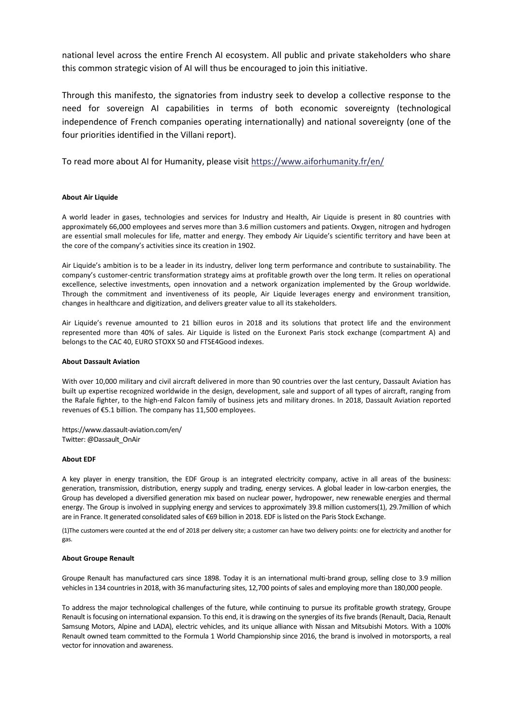national level across the entire French AI ecosystem. All public and private stakeholders who share this common strategic vision of AI will thus be encouraged to join this initiative.

Through this manifesto, the signatories from industry seek to develop a collective response to the need for sovereign AI capabilities in terms of both economic sovereignty (technological independence of French companies operating internationally) and national sovereignty (one of the four priorities identified in the Villani report).

To read more about AI for Humanity, please visit <https://www.aiforhumanity.fr/en/>

#### **About Air Liquide**

A world leader in gases, technologies and services for Industry and Health, Air Liquide is present in 80 countries with approximately 66,000 employees and serves more than 3.6 million customers and patients. Oxygen, nitrogen and hydrogen are essential small molecules for life, matter and energy. They embody Air Liquide's scientific territory and have been at the core of the company's activities since its creation in 1902.

Air Liquide's ambition is to be a leader in its industry, deliver long term performance and contribute to sustainability. The company's customer-centric transformation strategy aims at profitable growth over the long term. It relies on operational excellence, selective investments, open innovation and a network organization implemented by the Group worldwide. Through the commitment and inventiveness of its people, Air Liquide leverages energy and environment transition, changes in healthcare and digitization, and delivers greater value to all its stakeholders.

Air Liquide's revenue amounted to 21 billion euros in 2018 and its solutions that protect life and the environment represented more than 40% of sales. Air Liquide is listed on the Euronext Paris stock exchange (compartment A) and belongs to the CAC 40, EURO STOXX 50 and FTSE4Good indexes.

#### **About Dassault Aviation**

With over 10,000 military and civil aircraft delivered in more than 90 countries over the last century, Dassault Aviation has built up expertise recognized worldwide in the design, development, sale and support of all types of aircraft, ranging from the Rafale fighter, to the high-end Falcon family of business jets and military drones. In 2018, Dassault Aviation reported revenues of €5.1 billion. The company has 11,500 employees.

https://www.dassault-aviation.com/en/ Twitter: @Dassault\_OnAir

#### **About EDF**

A key player in energy transition, the EDF Group is an integrated electricity company, active in all areas of the business: generation, transmission, distribution, energy supply and trading, energy services. A global leader in low-carbon energies, the Group has developed a diversified generation mix based on nuclear power, hydropower, new renewable energies and thermal energy. The Group is involved in supplying energy and services to approximately 39.8 million customers(1), 29.7million of which are in France. It generated consolidated sales of €69 billion in 2018. EDF is listed on the Paris Stock Exchange.

(1)The customers were counted at the end of 2018 per delivery site; a customer can have two delivery points: one for electricity and another for gas.

#### **About Groupe Renault**

Groupe Renault has manufactured cars since 1898. Today it is an international multi-brand group, selling close to 3.9 million vehicles in 134 countries in 2018, with 36 manufacturing sites, 12,700 points of sales and employing more than 180,000 people.

To address the major technological challenges of the future, while continuing to pursue its profitable growth strategy, Groupe Renault is focusing on international expansion. To this end, it is drawing on the synergies of its five brands (Renault, Dacia, Renault Samsung Motors, Alpine and LADA), electric vehicles, and its unique alliance with Nissan and Mitsubishi Motors. With a 100% Renault owned team committed to the Formula 1 World Championship since 2016, the brand is involved in motorsports, a real vector for innovation and awareness.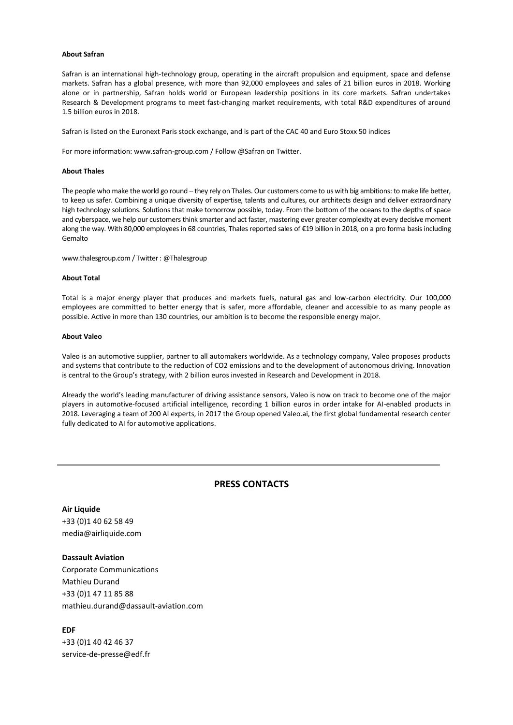### **About Safran**

Safran is an international high-technology group, operating in the aircraft propulsion and equipment, space and defense markets. Safran has a global presence, with more than 92,000 employees and sales of 21 billion euros in 2018. Working alone or in partnership, Safran holds world or European leadership positions in its core markets. Safran undertakes Research & Development programs to meet fast-changing market requirements, with total R&D expenditures of around 1.5 billion euros in 2018.

Safran is listed on the Euronext Paris stock exchange, and is part of the CAC 40 and Euro Stoxx 50 indices

For more information: www.safran-group.com / Follow @Safran on Twitter.

#### **About Thales**

The people who make the world go round – they rely on Thales. Our customers come to us with big ambitions: to make life better, to keep us safer. Combining a unique diversity of expertise, talents and cultures, our architects design and deliver extraordinary high technology solutions. Solutions that make tomorrow possible, today. From the bottom of the oceans to the depths of space and cyberspace, we help our customers think smarter and act faster, mastering ever greater complexity at every decisive moment along the way. With 80,000 employees in 68 countries, Thales reported sales of €19 billion in 2018, on a pro forma basis including Gemalto

[www.thalesgroup.com](http://www.thalesgroup.com/) / Twitter: @Thalesgroup

#### **About Total**

Total is a major energy player that produces and markets fuels, natural gas and low-carbon electricity. Our 100,000 employees are committed to better energy that is safer, more affordable, cleaner and accessible to as many people as possible. Active in more than 130 countries, our ambition is to become the responsible energy major.

#### **About Valeo**

Valeo is an automotive supplier, partner to all automakers worldwide. As a technology company, Valeo proposes products and systems that contribute to the reduction of CO2 emissions and to the development of autonomous driving. Innovation is central to the Group's strategy, with 2 billion euros invested in Research and Development in 2018.

Already the world's leading manufacturer of driving assistance sensors, Valeo is now on track to become one of the major players in automotive-focused artificial intelligence, recording 1 billion euros in order intake for AI-enabled products in 2018. Leveraging a team of 200 AI experts, in 2017 the Group opened Valeo.ai, the first global fundamental research center fully dedicated to AI for automotive applications.

### **PRESS CONTACTS**

**Air Liquide** +33 (0)1 40 62 58 49 media@airliquide.com

**Dassault Aviation** Corporate Communications Mathieu Durand

+33 (0)1 47 11 85 88 [mathieu.durand@dassault-aviation.com](mailto:mathieu.durand@dassault-aviation.com)

### **EDF**

+33 (0)1 40 42 46 37 [service-de-presse@edf.fr](mailto:service-de-presse@edf.fr)